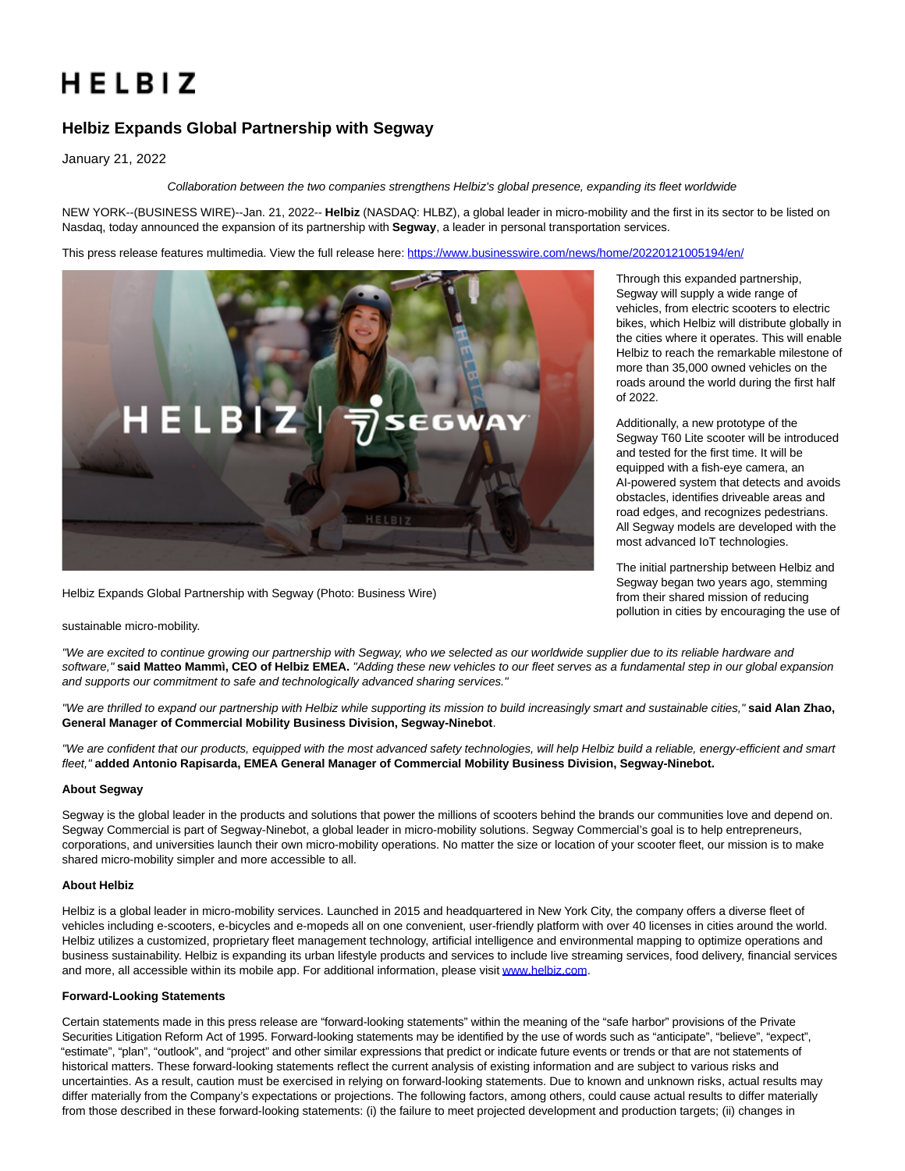# HELBIZ

# **Helbiz Expands Global Partnership with Segway**

January 21, 2022

Collaboration between the two companies strengthens Helbiz's global presence, expanding its fleet worldwide

NEW YORK--(BUSINESS WIRE)--Jan. 21, 2022-- **Helbiz** (NASDAQ: HLBZ), a global leader in micro-mobility and the first in its sector to be listed on Nasdaq, today announced the expansion of its partnership with **Segway**, a leader in personal transportation services.

This press release features multimedia. View the full release here:<https://www.businesswire.com/news/home/20220121005194/en/>



Helbiz Expands Global Partnership with Segway (Photo: Business Wire)

sustainable micro-mobility.

"We are excited to continue growing our partnership with Segway, who we selected as our worldwide supplier due to its reliable hardware and software," said Matteo Mammì, CEO of Helbiz EMEA. "Adding these new vehicles to our fleet serves as a fundamental step in our global expansion and supports our commitment to safe and technologically advanced sharing services."

"We are thrilled to expand our partnership with Helbiz while supporting its mission to build increasingly smart and sustainable cities," **said Alan Zhao, General Manager of Commercial Mobility Business Division, Segway-Ninebot**.

"We are confident that our products, equipped with the most advanced safety technologies, will help Helbiz build a reliable, energy-efficient and smart fleet," **added Antonio Rapisarda, EMEA General Manager of Commercial Mobility Business Division, Segway-Ninebot.**

## **About Segway**

Segway is the global leader in the products and solutions that power the millions of scooters behind the brands our communities love and depend on. Segway Commercial is part of Segway-Ninebot, a global leader in micro-mobility solutions. Segway Commercial's goal is to help entrepreneurs, corporations, and universities launch their own micro-mobility operations. No matter the size or location of your scooter fleet, our mission is to make shared micro-mobility simpler and more accessible to all.

### **About Helbiz**

Helbiz is a global leader in micro-mobility services. Launched in 2015 and headquartered in New York City, the company offers a diverse fleet of vehicles including e-scooters, e-bicycles and e-mopeds all on one convenient, user-friendly platform with over 40 licenses in cities around the world. Helbiz utilizes a customized, proprietary fleet management technology, artificial intelligence and environmental mapping to optimize operations and business sustainability. Helbiz is expanding its urban lifestyle products and services to include live streaming services, food delivery, financial services and more, all accessible within its mobile app. For additional information, please visi[t www.helbiz.com.](https://cts.businesswire.com/ct/CT?id=smartlink&url=http%3A%2F%2Fwww.helbiz.com&esheet=52566617&newsitemid=20220121005194&lan=en-US&anchor=www.helbiz.com&index=1&md5=d3ecd936b2db2628b88efb0316107790)

#### **Forward-Looking Statements**

Certain statements made in this press release are "forward-looking statements" within the meaning of the "safe harbor" provisions of the Private Securities Litigation Reform Act of 1995. Forward-looking statements may be identified by the use of words such as "anticipate", "believe", "expect", "estimate", "plan", "outlook", and "project" and other similar expressions that predict or indicate future events or trends or that are not statements of historical matters. These forward-looking statements reflect the current analysis of existing information and are subject to various risks and uncertainties. As a result, caution must be exercised in relying on forward-looking statements. Due to known and unknown risks, actual results may differ materially from the Company's expectations or projections. The following factors, among others, could cause actual results to differ materially from those described in these forward-looking statements: (i) the failure to meet projected development and production targets; (ii) changes in

Through this expanded partnership, Segway will supply a wide range of vehicles, from electric scooters to electric bikes, which Helbiz will distribute globally in the cities where it operates. This will enable Helbiz to reach the remarkable milestone of more than 35,000 owned vehicles on the roads around the world during the first half of 2022.

Additionally, a new prototype of the Segway T60 Lite scooter will be introduced and tested for the first time. It will be equipped with a fish-eye camera, an AI-powered system that detects and avoids obstacles, identifies driveable areas and road edges, and recognizes pedestrians. All Segway models are developed with the most advanced IoT technologies.

The initial partnership between Helbiz and Segway began two years ago, stemming from their shared mission of reducing pollution in cities by encouraging the use of